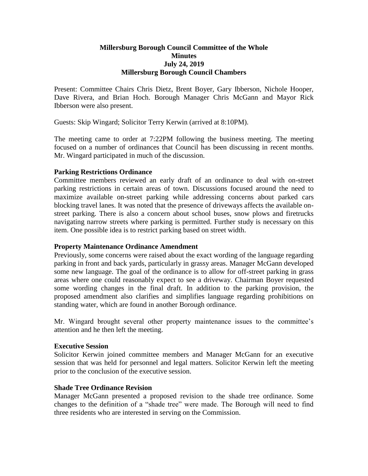## **Millersburg Borough Council Committee of the Whole Minutes July 24, 2019 Millersburg Borough Council Chambers**

Present: Committee Chairs Chris Dietz, Brent Boyer, Gary Ibberson, Nichole Hooper, Dave Rivera, and Brian Hoch. Borough Manager Chris McGann and Mayor Rick Ibberson were also present.

Guests: Skip Wingard; Solicitor Terry Kerwin (arrived at 8:10PM).

The meeting came to order at 7:22PM following the business meeting. The meeting focused on a number of ordinances that Council has been discussing in recent months. Mr. Wingard participated in much of the discussion.

# **Parking Restrictions Ordinance**

Committee members reviewed an early draft of an ordinance to deal with on-street parking restrictions in certain areas of town. Discussions focused around the need to maximize available on-street parking while addressing concerns about parked cars blocking travel lanes. It was noted that the presence of driveways affects the available onstreet parking. There is also a concern about school buses, snow plows and firetrucks navigating narrow streets where parking is permitted. Further study is necessary on this item. One possible idea is to restrict parking based on street width.

### **Property Maintenance Ordinance Amendment**

Previously, some concerns were raised about the exact wording of the language regarding parking in front and back yards, particularly in grassy areas. Manager McGann developed some new language. The goal of the ordinance is to allow for off-street parking in grass areas where one could reasonably expect to see a driveway. Chairman Boyer requested some wording changes in the final draft. In addition to the parking provision, the proposed amendment also clarifies and simplifies language regarding prohibitions on standing water, which are found in another Borough ordinance.

Mr. Wingard brought several other property maintenance issues to the committee's attention and he then left the meeting.

# **Executive Session**

Solicitor Kerwin joined committee members and Manager McGann for an executive session that was held for personnel and legal matters. Solicitor Kerwin left the meeting prior to the conclusion of the executive session.

### **Shade Tree Ordinance Revision**

Manager McGann presented a proposed revision to the shade tree ordinance. Some changes to the definition of a "shade tree" were made. The Borough will need to find three residents who are interested in serving on the Commission.